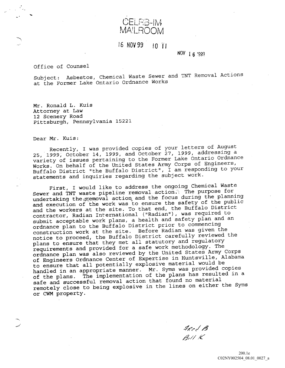CELR<sub>2</sub> MAILROOM

## 16 NOV 99 10 TI

NOV 1 6 1999

## Office of Counsel

Subject: Asbestos, Chemical Waste Sewer and TNT Removal Actions at the Former Lake Ontario Ordnance Works

Mr. Ronald L. Kuis Attorney at Law <sup>12</sup> Scenery Road Pittsburgh, Pennsylvania 15221

Dear Mr. Kuis:

Recently, I was provided copies of your letters of August 25, 1999, October 14, 1999, and October 27, 1999, addressing a variety of issues pertaining to the Former Lake Ontario Ordnance Works. On behalf of the United States Army Corps of Engineers, Buffalo District "the Buffalo District",  $\overline{I}$  am responding to your statements and inquiries regarding the subject work

First, I would like to address the ongoing Chemical Waste Sewer and TNT waste pipeline removal action. The purpose for undertaking the memoval action and the focus during the planning and execution of the work was to ensure the safety of the public and the workers at the site. To that end, the Buffalo District contractor, Radian International ("Radian"), was required to submit acceptable work plans, a health and safety plan and an ordnance plan to the Buffalo District prior to commencing construction work at the site. Before Radian was given the notice to proceed, the Buffalo District carefully reviewed the plans to ensure that they met all statutory and regulatory requirements and provided for a safe work methodology. The ordnance plan was also reviewed by the United States Army Corps of Engineers Ordnance Center of Expertise in Huntsville, Alabama to ensure that all potentially explosive material would be handled in an appropriate manner. Mr. Syms was provided copies of the plans. The implementation of the plans has resulted in a safe and successful removal action that found no material remotely close to being explosive in the lines on either the Syms or CWM property

 $4$ Red  $\beta$  $B_t$ // $K$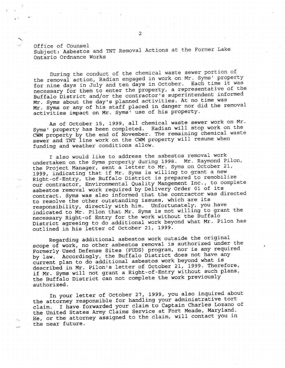Office of Counsel Subject Asbestos and TNT Removal Actions at the Former Lake Ontario Ordnance Works

During the conduct of the chemical waste sewer portion of the removal action, Radian engaged in work on Mr. Syms' property for nine days in July and ten days in October. Each time it was necessary for them to enter the property, a representative of the Buffalo District and/or the contractor's superintendent informed Mr. Syms about the day's planned activities. At no time was Mr. Syms or any of his staff placed in danger nor did the removal activities impact on Mr. Syms' use of his property.

As of October 15, 1999, all chemical waste sewer work on Mr. Syms' property has been completed. Radian will stop work on the CWM property by the end of November. The remaining chemical waste sewer and TNT line work on the CWM property will resume when funding and weather conditions allow

also would like to address the asbestos removal work undertaken on the Syms property during 1998. Mr. Raymond Pilon, undertaken on the Syms property during 1998. Mi. Kaymond F1.<br>the Project Manager, sent a letter to Mr. Syms on October 21<br>1999, indicating that if Mr. Syms is willing to grant a new 1999, indicating that if Mr. Syms is willing to grant a new<br>Right-of-Entry, the Buffalo District is prepared to remobilize our contractor, Environmental Quality Mangement Inc., to complete asbestos removal work required by Delivery Order <sup>01</sup> of its contract. Syms was also informed that the contractor was directed to resolve the other outstanding issues, which are its responsibility, directly with him. Unfortunately, you have indicated to Mr. Pilon that Mr. Syms is not willing to grant the necessary Right-of Entry for the work without the Buffalo District agreeing to do additional work beyond what Mr. Pilon has outlined in his letter of October 21, 1999.

Regarding additional asbestos work outside the original scope of work, no other asbestos removal is authorized under the Formerly Used Defense Sites (FUDS) program, nor is any required by law. Accordingly, the Buffalo District does not have any current plan to do additional asbestos work beyond what is described in Mr. Pilon's letter of October 21, 1999. Therefore, if Mr. Syms will not grant a Right-of-Entry without such plans, the Buffalo District can not complete the work previously authorized

In your letter of October 27, 1999, you also inquired about the attorney responsible for handling your administrative tort claim. I have forwarded your claim to Captain Charles Lozano of the United States Army Claims Service at Fort Meade, Maryland. He, or the attorney assigned to the claim, will contact you in the near future